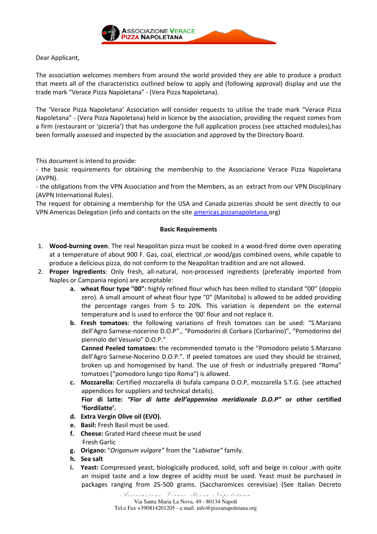

## Dear Applicant,

The association welcomes members from around the world provided they are able to produce a product that meets all of the characteristics outlined below to apply and (following approval) display and use the trade mark "Verace Pizza Napoletana" - (Vera Pizza Napoletana).

The 'Verace Pizza Napoletana' Association will consider requests to utilise the trade mark "Verace Pizza Napoletana" - (Vera Pizza Napoletana) held in licence by the association, providing the request comes from a firm (restaurant or 'pizzeria') that has undergone the full application process (see attached modules),has been formally assessed and inspected by the association and approved by the Directory Board.

This document is intend to provide:

- the basic requirements for obtaining the membership to the Associazione Verace Pizza Napoletana (AVPN).

- the obligations from the VPN Association and from the Members, as an extract from our VPN Disciplinary (AVPN International Rules).

The request for obtaining a membership for the USA and Canada pizzerias should be sent directly to our VPN Americas Delegation (info and contacts on the site americas.pizzanapoletana.org)

### Basic Requirements

- 1. Wood-burning oven. The real Neapolitan pizza must be cooked in a wood-fired dome oven operating at a temperature of about 900 F. Gas, coal, electrical ,or wood/gas combined ovens, while capable to produce a delicious pizza, do not conform to the Neapolitan tradition and are not allowed.
- 2. Proper Ingredients: Only fresh, all-natural, non-processed ingredients (preferably imported from Naples or Campania region) are acceptable:
	- a. wheat flour type "00": highly refined flour which has been milled to standard "00" (doppio zero). A small amount of wheat flour type "0" (Manitoba) is allowed to be added providing the percentage ranges from 5 to 20%. This variation is dependent on the external temperature and is used to enforce the '00' flour and not replace it.
	- b. Fresh tomatoes: the following variations of fresh tomatoes can be used: "S.Marzano dell'Agro Sarnese-nocerino D.O.P"., "Pomodorini di Corbara (Corbarino)", "Pomodorino del piennolo del Vesuvio" D.O.P."

Canned Peeled tomatoes: the recommended tomato is the "Pomodoro pelato S.Marzano dell'Agro Sarnese-Nocerino D.O.P.". If peeled tomatoes are used they should be strained, broken up and homogenised by hand. The use of fresh or industrially prepared "Roma" tomatoes ("pomodoro lungo tipo Roma") is allowed.

- c. Mozzarella: Certified mozzarella di bufala campana D.O.P, mozzarella S.T.G. (see attached appendices for suppliers and technical details). Fior di latte: "Fior di latte dell'appennino meridionale D.O.P" or other certified 'fiordilatte'.
- d. Extra Vergin Olive oil (EVO).
- e. Basil: Fresh Basil must be used.
- f. Cheese: Grated Hard cheese must be used Fresh Garlic
- g. Origano: "Origanum vulgare" from the "Labiatae" family.
- h. Sea salt
- i. Yeast: Compressed yeast, biologically produced, solid, soft and beige in colour, with quite an insipid taste and a low degree of acidity must be used. Yeast must be purchased in packages ranging from 25-500 grams. (Saccharomices cerevisiae) (See Italian Decreto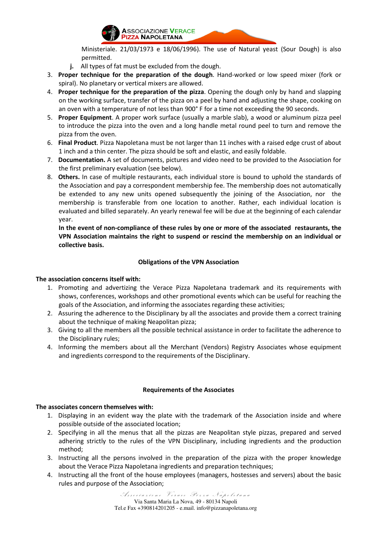

Ministeriale. 21/03/1973 e 18/06/1996). The use of Natural yeast (Sour Dough) is also permitted.

- j. All types of fat must be excluded from the dough.
- 3. Proper technique for the preparation of the dough. Hand-worked or low speed mixer (fork or spiral). No planetary or vertical mixers are allowed.
- 4. Proper technique for the preparation of the pizza. Opening the dough only by hand and slapping on the working surface, transfer of the pizza on a peel by hand and adjusting the shape, cooking on an oven with a temperature of not less than 900° F for a time not exceeding the 90 seconds.
- 5. Proper Equipment. A proper work surface (usually a marble slab), a wood or aluminum pizza peel to introduce the pizza into the oven and a long handle metal round peel to turn and remove the pizza from the oven.
- 6. Final Product. Pizza Napoletana must be not larger than 11 inches with a raised edge crust of about 1 inch and a thin center. The pizza should be soft and elastic, and easily foldable.
- 7. Documentation. A set of documents, pictures and video need to be provided to the Association for the first preliminary evaluation (see below).
- 8. Others. In case of multiple restaurants, each individual store is bound to uphold the standards of the Association and pay a correspondent membership fee. The membership does not automatically be extended to any new units opened subsequently the joining of the Association, nor the membership is transferable from one location to another. Rather, each individual location is evaluated and billed separately. An yearly renewal fee will be due at the beginning of each calendar year.

In the event of non-compliance of these rules by one or more of the associated restaurants, the VPN Association maintains the right to suspend or rescind the membership on an individual or collective basis.

# Obligations of the VPN Association

### The association concerns itself with:

- 1. Promoting and advertizing the Verace Pizza Napoletana trademark and its requirements with shows, conferences, workshops and other promotional events which can be useful for reaching the goals of the Association, and informing the associates regarding these activities;
- 2. Assuring the adherence to the Disciplinary by all the associates and provide them a correct training about the technique of making Neapolitan pizza;
- 3. Giving to all the members all the possible technical assistance in order to facilitate the adherence to the Disciplinary rules;
- 4. Informing the members about all the Merchant (Vendors) Registry Associates whose equipment and ingredients correspond to the requirements of the Disciplinary.

### Requirements of the Associates

### The associates concern themselves with:

- 1. Displaying in an evident way the plate with the trademark of the Association inside and where possible outside of the associated location;
- 2. Specifying in all the menus that all the pizzas are Neapolitan style pizzas, prepared and served adhering strictly to the rules of the VPN Disciplinary, including ingredients and the production method;
- 3. Instructing all the persons involved in the preparation of the pizza with the proper knowledge about the Verace Pizza Napoletana ingredients and preparation techniques;
- 4. Instructing all the front of the house employees (managers, hostesses and servers) about the basic rules and purpose of the Association;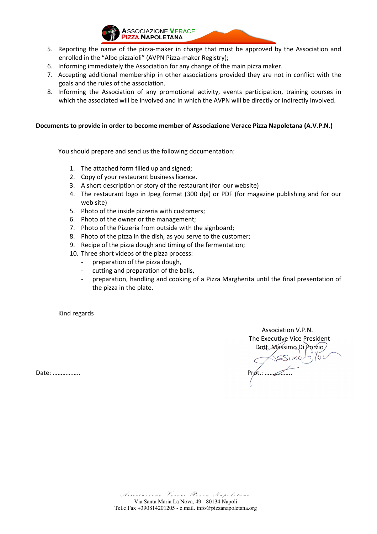

- 5. Reporting the name of the pizza-maker in charge that must be approved by the Association and enrolled in the "Albo pizzaioli" (AVPN Pizza-maker Registry);
- 6. Informing immediately the Association for any change of the main pizza maker.
- 7. Accepting additional membership in other associations provided they are not in conflict with the goals and the rules of the association.
- 8. Informing the Association of any promotional activity, events participation, training courses in which the associated will be involved and in which the AVPN will be directly or indirectly involved.

### Documents to provide in order to become member of Associazione Verace Pizza Napoletana (A.V.P.N.)

You should prepare and send us the following documentation:

- 1. The attached form filled up and signed;
- 2. Copy of your restaurant business licence.
- 3. A short description or story of the restaurant (for our website)
- 4. The restaurant logo in Jpeg format (300 dpi) or PDF (for magazine publishing and for our web site)
- 5. Photo of the inside pizzeria with customers;
- 6. Photo of the owner or the management;
- 7. Photo of the Pizzeria from outside with the signboard;
- 8. Photo of the pizza in the dish, as you serve to the customer;
- 9. Recipe of the pizza dough and timing of the fermentation;
- 10. Three short videos of the pizza process:
	- preparation of the pizza dough,
	- cutting and preparation of the balls,
	- preparation, handling and cooking of a Pizza Margherita until the final presentation of the pizza in the plate.

Kind regards

 Association V.P.N. The Executive Vice President Dott. Massimo Di Porzio Date: …………….. Prot.: ……………..